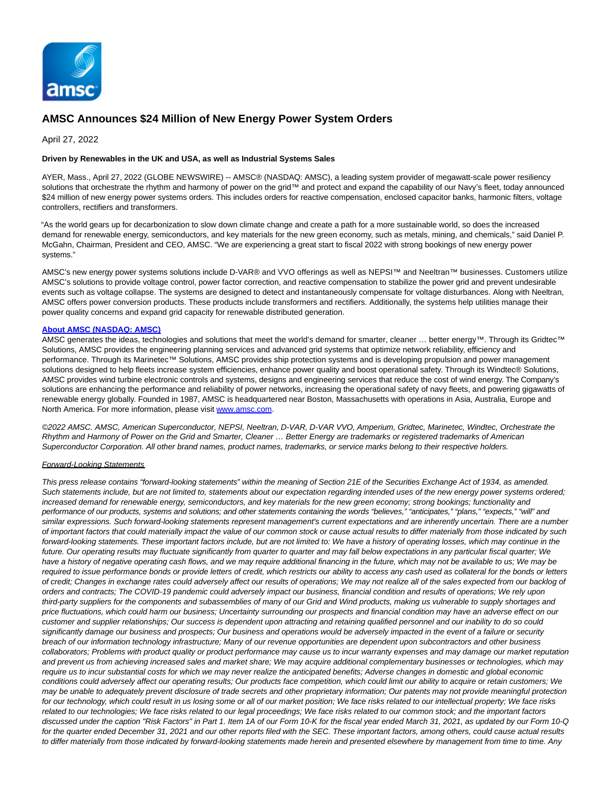

## **AMSC Announces \$24 Million of New Energy Power System Orders**

April 27, 2022

## **Driven by Renewables in the UK and USA, as well as Industrial Systems Sales**

AYER, Mass., April 27, 2022 (GLOBE NEWSWIRE) -- AMSC® (NASDAQ: AMSC), a leading system provider of megawatt-scale power resiliency solutions that orchestrate the rhythm and harmony of power on the grid™ and protect and expand the capability of our Navy's fleet, today announced \$24 million of new energy power systems orders. This includes orders for reactive compensation, enclosed capacitor banks, harmonic filters, voltage controllers, rectifiers and transformers.

"As the world gears up for decarbonization to slow down climate change and create a path for a more sustainable world, so does the increased demand for renewable energy, semiconductors, and key materials for the new green economy, such as metals, mining, and chemicals," said Daniel P. McGahn, Chairman, President and CEO, AMSC. "We are experiencing a great start to fiscal 2022 with strong bookings of new energy power systems."

AMSC's new energy power systems solutions include D-VAR® and VVO offerings as well as NEPSI™ and Neeltran™ businesses. Customers utilize AMSC's solutions to provide voltage control, power factor correction, and reactive compensation to stabilize the power grid and prevent undesirable events such as voltage collapse. The systems are designed to detect and instantaneously compensate for voltage disturbances. Along with Neeltran, AMSC offers power conversion products. These products include transformers and rectifiers. Additionally, the systems help utilities manage their power quality concerns and expand grid capacity for renewable distributed generation.

## **[About AMSC \(NASDAQ: AMSC\)](https://www.globenewswire.com/Tracker?data=P4E2y17HMKsh1oy9Z45B3cK8vqQZSlgolG2hDc5NwDtaqoQxLicskfThp4PuFPfFmvp9mjNAA47yIimbN7pmWx1aMJcgSoK4ph_HKw9GC5c=)**

AMSC generates the ideas, technologies and solutions that meet the world's demand for smarter, cleaner ... better energy™. Through its Gridtec™ Solutions, AMSC provides the engineering planning services and advanced grid systems that optimize network reliability, efficiency and performance. Through its Marinetec™ Solutions, AMSC provides ship protection systems and is developing propulsion and power management solutions designed to help fleets increase system efficiencies, enhance power quality and boost operational safety. Through its Windtec® Solutions, AMSC provides wind turbine electronic controls and systems, designs and engineering services that reduce the cost of wind energy. The Company's solutions are enhancing the performance and reliability of power networks, increasing the operational safety of navy fleets, and powering gigawatts of renewable energy globally. Founded in 1987, AMSC is headquartered near Boston, Massachusetts with operations in Asia, Australia, Europe and North America. For more information, please visi[t www.amsc.com.](https://www.globenewswire.com/Tracker?data=vbHRBZ2m5JfX5iJ0DzLsNd5rMwVDizFkfkqXPctpQhulziyBD88Nebcu2s0N9FiczEP6bVGr-mhYMeTAaPIBRg==)

©2022 AMSC. AMSC, American Superconductor, NEPSI, Neeltran, D-VAR, D-VAR VVO, Amperium, Gridtec, Marinetec, Windtec, Orchestrate the Rhythm and Harmony of Power on the Grid and Smarter, Cleaner … Better Energy are trademarks or registered trademarks of American Superconductor Corporation. All other brand names, product names, trademarks, or service marks belong to their respective holders.

## Forward-Looking Statements

This press release contains "forward-looking statements" within the meaning of Section 21E of the Securities Exchange Act of 1934, as amended. Such statements include, but are not limited to, statements about our expectation regarding intended uses of the new energy power systems ordered; increased demand for renewable energy, semiconductors, and key materials for the new green economy; strong bookings; functionality and performance of our products, systems and solutions; and other statements containing the words "believes," "anticipates," "plans," "expects," "will" and similar expressions. Such forward-looking statements represent management's current expectations and are inherently uncertain. There are a number of important factors that could materially impact the value of our common stock or cause actual results to differ materially from those indicated by such forward-looking statements. These important factors include, but are not limited to: We have a history of operating losses, which may continue in the future. Our operating results may fluctuate significantly from quarter to quarter and may fall below expectations in any particular fiscal quarter; We have a history of negative operating cash flows, and we may require additional financing in the future, which may not be available to us; We may be required to issue performance bonds or provide letters of credit, which restricts our ability to access any cash used as collateral for the bonds or letters of credit; Changes in exchange rates could adversely affect our results of operations; We may not realize all of the sales expected from our backlog of orders and contracts; The COVID-19 pandemic could adversely impact our business, financial condition and results of operations; We rely upon third-party suppliers for the components and subassemblies of many of our Grid and Wind products, making us vulnerable to supply shortages and price fluctuations, which could harm our business; Uncertainty surrounding our prospects and financial condition may have an adverse effect on our customer and supplier relationships; Our success is dependent upon attracting and retaining qualified personnel and our inability to do so could significantly damage our business and prospects; Our business and operations would be adversely impacted in the event of a failure or security breach of our information technology infrastructure; Many of our revenue opportunities are dependent upon subcontractors and other business collaborators; Problems with product quality or product performance may cause us to incur warranty expenses and may damage our market reputation and prevent us from achieving increased sales and market share; We may acquire additional complementary businesses or technologies, which may require us to incur substantial costs for which we may never realize the anticipated benefits; Adverse changes in domestic and global economic conditions could adversely affect our operating results; Our products face competition, which could limit our ability to acquire or retain customers; We may be unable to adequately prevent disclosure of trade secrets and other proprietary information; Our patents may not provide meaningful protection for our technology, which could result in us losing some or all of our market position; We face risks related to our intellectual property; We face risks related to our technologies; We face risks related to our legal proceedings; We face risks related to our common stock; and the important factors discussed under the caption "Risk Factors" in Part 1. Item 1A of our Form 10-K for the fiscal year ended March 31, 2021, as updated by our Form 10-Q for the quarter ended December 31, 2021 and our other reports filed with the SEC. These important factors, among others, could cause actual results to differ materially from those indicated by forward-looking statements made herein and presented elsewhere by management from time to time. Any